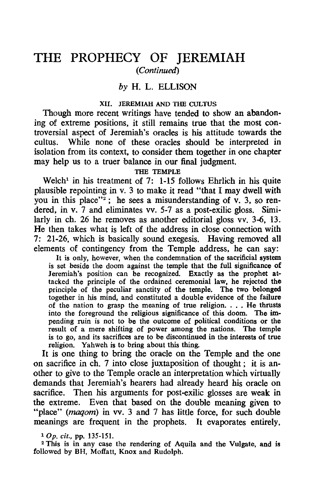# **THE PROPHECY OF JEREMIAH**  *(Continued)*

# *by* H. L. ELLISON

#### XII. JEREMIAH AND THE CULTUS

Though more recent writings have tended to show an abandoning of extreme positions, it still remains true that the most controversial aspect of Jeremiah's oracles is his attitude towards the cultus. While none of these oracles should be interpreted in isolation from its context, to consider them together in one chapter may help us to a truer balance in our final judgment.

#### THE TEMPLE

Welch<sup>1</sup> in his treatment of 7: 1-15 follows Ehrlich in his quite plausible repointing in v. 3 to make it read "that I may dwell with you in this place"<sup>2</sup>; he sees a misunderstanding of v. 3, so rendered, in v. 7 and eliminates vv. 5-7 as a post-exilic gloss. Similarly in ch. 26 he removes as another editorial gloss vv. 3-6, 13. He then takes what is left of the address in close connection with 7: 21-26, which is basically sound exegesis. Having removed all elements of contingency from the Temple address, he can say:

It is only, however, when the condemnation of the sacrificial system is set beside the doom against the temple that the full significance of Jeremiah's position can be recognized. Exactly as the prophet attacked the principle of the ordained ceremonial law, he rejected the principle of the peculiar sanctity of the temple. The two belonged together in his mind, and constituted a double evidence of the failure of the nation to grasp the meaning of true religion. . . . He thrusts into the foreground the religious significance of this doom. The impending ruin is not to be the outcome of political conditions or the result of a mere shifting of power among the nations. The temple is to go, and its sacrifices are to be discontinued in the interests of true religion. Yahweh is to bring about this thing.

It is one thing to bring the oracle on the Temple and the one on sacrifice in ch. 7 into close juxtaposition of thought; it is another to give to the Temple oracle an interpretation which virtually demands that Jeremiah's hearers had already heard his oracle on sacrifice. Then his arguments for post-exilic glosses are weak in the extreme. Even that based on the double meaning given to "place" (*maqom*) in vv. 3 and 7 has little force, for such double meanings are frequent in the prophets. It evaporates entirely,

lOp. *cit.,* pp. 135-151.

<sup>2</sup> This is in any case the rendering of Aquila and the Vulgate, and is followed by BH, Mofiatt, Knox and Rudolph.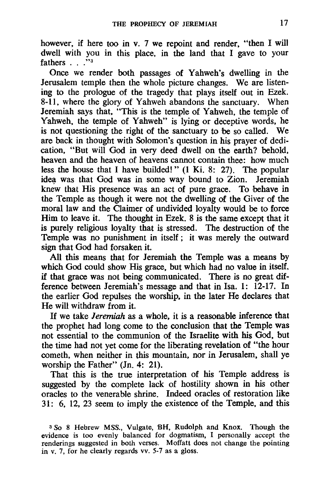however, if here too in v. 7 we repoint and render, "then I will dwell with you in this place, in the land that I gave to your fathers . . .<sup>"3</sup>

Once we render both passages of Yahweh's dwelling in the Jerusalem temple then the whole picture changes. We are listening to the prologue of the tragedy that plays itself out in Ezek. 8-11, where the glory of Yahweh abandons the sanctuary. When Jeremiah says that, "This is the temple of Yahweh, the temple of Yahweh, the temple of Yahweh" is lying or deceptive words, he is not questioning the right of the sanctuary to be so called. We are back in thought with Solomon's question in his prayer of dedication, "But will God in very deed dwell on the earth? behold, heaven and the heaven of heavens cannot contain thee: how much less the house that I have builded! " (1 Ki. 8: 27). The popular idea was that God was in some way bound to Zion. Jeremiah knew that His presence was an act of pure grace. To behave in the Temple as though it were not the dwelling of the Giver of the moral law and the Claimer of undivided loyalty would be to force Him to leave it. The thought in Ezek. 8 is the same except that it is purely religious loyalty that is stressed. The destruction of the Temple was no punishment in itself; it was merely the outward sign that God had forsaken it.

All this means that for Jeremiah the Temple was a means by which God could show His grace, but which had no value in itself. if that grace was not being communicated. There is no great difference between Jeremiah's message and that in Isa. 1: 12-17. In the earlier God repulses the worship. in the later He declares that He will withdraw from it.

If we take Jeremiah as a whole. it is a reasonable inference that the prophet had long come to the conclusion that the Temple was not essential to the communion of the Israelite with his God. but the time had not yet come for the liberating revelation of "the hour cometh. when neither in this mountain. nor in Jerusalem. shall ye worship the Father" (In. 4: 21).

That this is the true interpretation of his Temple address is suggested by the complete lack of hostility shown in his other oracles to the venerable shrine. Indeed oracles of restoration like 31: 6, 12,23 seem to imply the existence of the Temple, and this

<sup>3</sup> So 8 Hebrew MSS., Vulgate, BH, Rudolph and Knox. Though the evidence is too evenly balanced for dogmatism, I personally accept the renderings suggested in both verses. Moffatt does not change the pointing in v. 7, for he clearly regards vv. 5-7 as a gloss.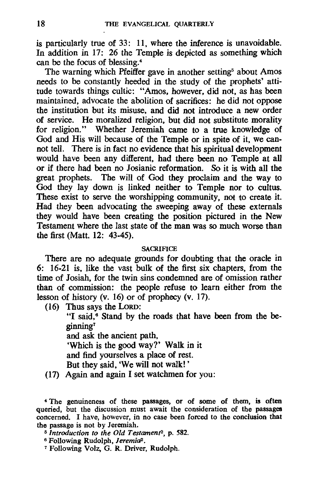is particularly true of 33: 11, where the inference is unavoidable. In addition in 17: 26 the Temple is depicted as something which can be the focus of blessing.4

The warning which Pfeiffer gave in another setting<sup>5</sup> about Amos needs to be constantly heeded in the study of the prophets' attitude towards things cultic: "Amos, however, did not, as has been maintained, advocate the abolition of sacrifices: he did not oppose the institution but its misuse, and did not introduce a new order of service. He moralized religion, but did not substitute morality for religion." Whether Jeremiah came to a true knowledge of God and His will because of the Temple or in spite of it, we cannot tell. There is in fact no evidence that his spiritual development would have been any different, had there been no Temple at all or if there had been no Josianic reformation. So it is with all the great prophets. The will of God they proclaim and the way to God they lay down is linked neither to Temple nor to cuItus. These exist to serve the worshipping community, not to create it. Had they been advocating the sweeping away of these externals they would have been creating the position pictured in the New Testament where the last state of the man was so much worse than the first (Matt. 12: 43-45).

### **SACRIFICE**

There are no adequate grounds for doubting that the oracle in 6: 16-21 is, like the vast bulk of the first six chapters, from the time of Josiah, for the twin sins condemned are of omission rather than of commission: the people refuse to learn either from the lesson of history (v. 16) or of prophecy (v. 17).

(16) Thus says the LoRD:

"I said,<sup>6</sup> Stand by the roads that have been from the beginning<sup>7</sup>

and ask the ancient path,

'Which is the good way?' Walk in it

and find yourselves a place of rest.

But they said, 'We will not walk!'

(17) Again and again I set watchmen for you:

<sup>4</sup>The genuineness of these passages, or of some of them, is often queried, but the discussion must await the consideration of the passages concerned. I have, however, in no case been forced to the conclusion that the passage is not by Jeremiah.

<sup>6</sup>*Introduction to the Old Testament2,* p. 582.

6 Following Rudolph, *leremia2.* 

7 Following Volz, G. R. Driver, Rudolph.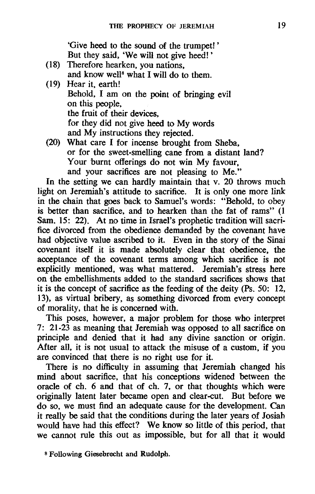'Give heed to the sound of the trumpet! ' But they said, 'We will not give heed! '

- (18) Therefore hearken, you nations, and know well<sup>s</sup> what I will do to them.
- (19) Hear it, earth! Behold, I am on the point of bringing evil on this people, the fruit of their devices, for they did not give heed to My words and My instructions they rejected.
- (20) What care I for incense brought from Sheba, or for the sweet-smelling cane from a distant land? Your burnt offerings do not win My favour, and your sacrifices are not pleasing to Me."

In the setting we can hardly maintain that v. 20 throws much light on Jeremiah's attitude to sacrifice. It is only one more link in the chain that goes back to Samuel's words: "Behold, to obey is better than sacrifice, and to hearken than the fat of rams" (1 Sam. 15: 22). At no time in Israel's prophetic tradition will sacrifice divorced from the obedience demanded by the covenant have had objective value ascribed to it. Even in the story of the Sinai covenant itself it is made absolutely clear that obedience, the acceptance of the covenant terms among which sacrifice is not explicitly mentioned, was what mattered. Jeremiah's stress here on the embellishments added to the standard sacrifices shows that it is the concept of sacrifice as the feeding of the deity (Ps. 50: 12, 13), as virtual bribery, as something divorced from every concept of morality, that he is concerned with.

This poses, however, a major problem for those who interpret 7: 21-23 as meaning that Jeremiah was opposed to all sacrifice on principle and denied that it had any divine sanction or origin. After all, it is not usual to attack the misuse of a custom, if you are convinced that there is no right use for it.

There is no difficulty in assuming that Jeremiah changed his mind about sacrifice, that his conceptions widened between the oracle of ch. 6 and that of ch. 7, or that thoughts which were originally latent later became open and clear-cut. But 'before we do so, we must find an adequate cause for the development. Can it really be said that the conditions during the later years of Josiah would have had this effect? We know so little of this period, that we cannot rule this out as impossible, but for all that it would

<sup>&</sup>lt;sup>8</sup> Following Giesebrecht and Rudolph.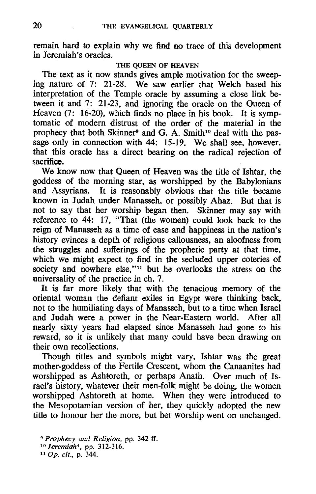remain hard to explain why we find no trace of this development in Jeremiah's oracles.

# THE QUEEN OF HEAVEN

The text as it now stands gives ample motivation for the sweeping nature of 7: 21-28. We saw earlier that Welch based his interpretation of the Temple oracle by assuming a close link between it and 7: 21-23. and ignoring the oracle on the Queen of Heaven (7: 16-20), which finds no place in his book. It is symptomatic of modern distrust of the order of the material in the prophecy that both Skinner<sup>9</sup> and G. A. Smith<sup>10</sup> deal with the passage only in connection with 44: 15-19. We shall see, however. that this oracle has a direct bearing on the radical rejection of sacrifice.

We know now that Queen of Heaven was the title of Ishtar. the goddess of the morning star, as worshipped by the Babylonians and Assyrians. It is reasonably obvious that the title became known in Judah under Manasseh. or possibly Ahaz. But that is not to say that her worship began then. Skinner may say with reference to 44: 17. "That (the women) could look back to the reign of Manasseh as a time of ease and happiness in the nation's history evinces a depth of religious callousness. an aloofness from the struggles and sufferings of the prophetic party at that time. which we might expect to find in the secluded upper coteries of society and nowhere else,"<sup>11</sup> but he overlooks the stress on the universality of the practice in ch. 7.

It is far more likely that with the tenacious memory of the oriental woman the defiant exiles in Egypt were thinking back. not to the humiliating days of Manasseh. but to a time when Israel and Judah were a power in the Near-Eastern world. After all nearly sixty years had elapsed since Manasseh had gone to his reward. so it is unlikely that many could have been drawing on their own recollections.

Though titles and symbols might vary. Ishtar was the great mother-goddess of the Fertile Crescent. whom the Canaanites had worshipped as Ashtoreth. or perhaps Anath. Over much of Israel's history. whatever their men-folk might be doing. the women worshipped Ashtoreth at home. When they were introduced to the Mesopotamian version of her. they quickly adopted the new title to honour her the more. but her worship went on unchanged.

<sup>9</sup>*Prophecy and Religion,* pp. 342 fI. 10 *Jeremiah4,* pp. 312-316. *11* Op. *cit.,* p. 344.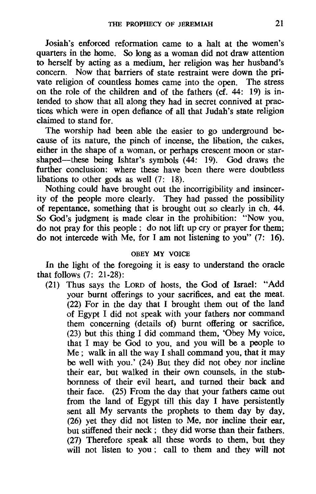Josiah's enforced reformation came to a halt at the women's quarters in the home. So long as a woman did not draw attention to herself by acting as a medium. her religion was her husband's concern. Now that barriers of state restraint were down the private religion of countless homes came into the open. The stress on the role of the children and of the fathers (cf. 44: 19) is intended to show that all along they had in secret connived at practices which were in open defiance of all that Judah's state religion claimed to stand for.

The worship had been able the easier to go underground because of its nature, the pinch of incense, the libation, the cakes, either in the shape of a woman, or perhaps crescent moon or starshaped—these being Ishtar's symbols (44: 19). God draws the further conclusion: where these have been there were doubtless libations to other gods as well (7: 18).

Nothing could have brought out the incorrigibility and insincerity of the people more clearly. They had passed the possibility of repentance, something that is brought out so clearly in ch. 44. So God's judgment is made clear in the prohibition: "Now you, do not pray for this people; do not lift up cry or prayer for them; do not intercede with Me, for I am not listening to you" (7: 16).

#### OBEY MY VOICE

In the light of the foregoing it is easy to understand the oracle that follows (7: 21-28):

(21) Thus says the LoRD of hosts, the God of Israel: "Add your burnt offerings to your sacrifices, and eat the meat. (22) For in the day that I brought them out of the land of Egypt I did not speak with your fathers nor command them concerning (details of) burnt offering or sacrifice. (23) but this thing I did command them, 'Obey My voice. that I may be God to you, and you will be a people to Me; walk in all the way I shall command you. that it may be well with you.' (24) But they did not obey nor incline their ear, but walked in their own counsels, in the stubbornness of their evil heart. and turned their back and their face. (25) From the day that your fathers came out from the land of Egypt till this day I have persistently sent all My servants the prophets to them day by day, (26) yet they did not listen to Me, nor incline their ear. but stiffened their neck; they did worse than their fathers. (27) Therefore speak all these words to them, but they will not listen to you; call to them and they will not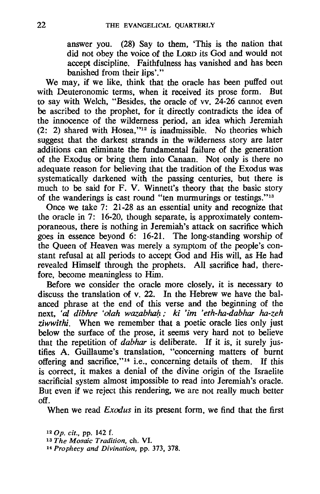answer you. (28) Say to them, *'This* is the nation that did not obey the voice of the LoRD its God and would not accept discipline. Faithfulness has vanished and has been banished from their lips'."

We may, if we like, think that the oracle has been puffed out with Deuteronomic terms, when it received its prose form. But to say with Welch, "Besides, the oracle of vv. 24-26 cannot even be ascribed to the prophet, for it directly contradicts the idea of the innocence of the wilderness period, an idea which Jeremiah  $(2: 2)$  shared with Hosea."<sup>12</sup> is inadmissible. No theories which suggest that the darkest strands in the wilderness story are later additions can eliminate the fundamental failure of the generation of the Exodus or bring them into Canaan. Not only is there no adequate reason for believing that the tradition of the Exodus was systematically darkened with the passing centuries, but there is much to be said for F. V. Winnett's theory that the basic story of the wanderings is cast round "ten murmurings or testings."13

Once we take 7: 21-28 as an essential unity and recognize that the oracle in 7: 16-20, though separate, is approximately contemporaneous, there is nothing in Jeremiah's attack on sacrifice which goes in essence beyond 6: 16-21. The long-standing worship of the Queen of Heaven was merely a symptom of the people's constant refusal at all periods to accept God and His will, as He had revealed Himself through the prophets. All sacrifice had, therefore, become meaningless to Him.

Before we consider the oracle more closely, it is necessary to discuss the translation of v. 22. In the Hebrew we have the balanced phrase at the end of this verse and the beginning of the next, 'aI *dibhre 'olah wazabhal;; ki 'im 'eth-ha-dabhar ha-zeh ziwwithi.* When we remember that a poetic oracle lies only just below the surface of the prose, it seems very hard not to believe that the repetition of *dabhar* is deliberate. If it is, it surely justifies A. GuiIlaume's translation, "concerning matters of burnt offering and sacrifice,"14 i.e., concerning details of them. If this is correct, it makes a denial of the divine origin of the Israelite sacrificial system almost impossible to read into Jeremiah's oracle. But even if we reject this rendering, we are not really much better off.

When we read *Exodus* in its present form, we find that the first

<sup>120</sup>p. cif., pp. 142 f.

<sup>13</sup> *The Mosaic Tradition,* ch. VI.

<sup>14</sup> *Prophecy and Divination,* pp. 373, 378.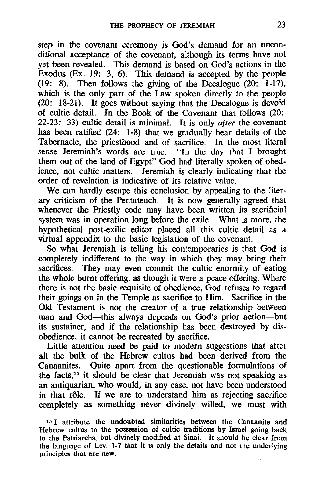step in the covenant ceremony is God's demand for an unconditional acceptance of the covenant, although its terms have not yet been revealed. This demand is based on God's actions in the Exodus (Ex. 19: 3, 6). This demand is accepted by the people  $(19: 8)$ . Then follows the giving of the Decalogue  $(20: 1-17)$ , which is the only part of the Law spoken directly to the people (20: 18-21). It goes without saying that the Decalogue is devoid of cultic detail. In the Book of the Covenant that follows (20: 22-23: 33) cultic detail is minimal. It is only *after* the covenant has been ratified (24: 1-8) that we gradually hear details of the Tabernacle, the priesthood and of sacrifice. In the most literal sense Jeremiah's words are true. "In the day that I brought them out of the land of Egypt" God had literally spoken of obedience, not cultic matters. Jeremiah is clearly indicating that the order of revelation is indicative of its relative value.

We can hardly escape this conclusion by appealing to the literary criticism of the Pentateuch. It is now generally agreed that whenever the Priestly code may have been written its sacrificial system was in operation long before the exile. What is more, the hypothetical post-exilic editor placed all this cultic detail as a virtual appendix to the basic legislation of the covenant.

So what Jeremiah is telling his contemporaries is that God is completely indifferent to the way in which they may bring their sacrifices. They may even commit the cultic enormity of eating the whole burnt offering. as though it were a peace offering. Where there is not the basic requisite of obedience, God refuses to regard their goings on in the Temple as sacrifice to Him. Sacrifice in the Old Testament is not the creator of a true relationship between man and God-this always depends on God's prior action-but its sustainer, and if the relationship has been destroyed by disobedience, it cannot be recreated by sacrifice.

Little attention need be paid to modem suggestions that after all the bulk of the Hebrew cuItus had been derived from the Canaanites. Quite apart from the questionable formulations of the facts,15 it should be clear that Jeremiah was not speaking as an antiquarian, who would, in any case, not have been understood in that rôle. If we are to understand him as rejecting sacrifice completely as something never divinely willed, we must with

15 I attribute the undoubted similarities between the Canaanite and Hebrew cultus to the possession of cultic traditions by Israel going back to the Patriarchs, but divinely modified at Sinai. It should be clear from the language of Lev. 1-7 that it is only the details and not the underlying principles that are new.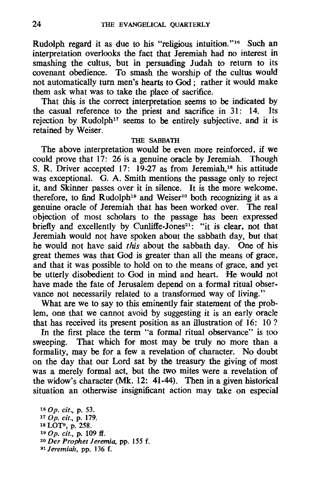Rudolph regard it as due to his "religious intuition."<sup>16</sup> Such an interpretation overlooks the fact that Jeremiah had no interest in smashing the cultus. but in persuading Judah to return to its covenant obedience. To smash the worship of the cultus would not automatically turn men's hearts to God; rather it would make them ask what was to take the place of sacrifice.

That this is the correct interpretation seems to be indicated by the casual reference to the priest and sacrifice in 31: 14. Its rejection by Rudolph<sup>17</sup> seems to be entirely subjective, and it is retained by Weiser.

#### THE SABBATH

The above interpretation would be even more reinforced. if we could prove that 17: 26 is a genuine oracle by Jeremiah. Though S. R. Driver accepted 17: 19-27 as from Jeremiah.<sup>18</sup> his attitude was exceptional. G. A. Smith mentions the passage only to reject it. and Skinner passes over it in silence. It is the more welcome. therefore, to find Rudolph<sup>19</sup> and Weiser<sup>20</sup> both recognizing it as a genuine oracle of Jeremiah that has been worked over. The real objection of most scholars to the passage has been expressed briefly and excellently by Cunliffe-Jones<sup>21</sup>: "it is clear, not that Jeremiah would not have spoken about the sabbath day, but that he would not have said *this* about the sabbath day. One of his great themes was that God is greater than all the means of grace. and that it was possible to hold on to the means of grace, and yet be utterly disobedient to God in mind and heart. He would not have made the fate of Jerusalem depend on a formal ritual observance not necessarily related to a transformed way of living."

What are we to say to this eminently fair statement of the problem, one that we cannot avoid by suggesting it is an early oracle that has received its present position as an illustration of 16: 1O?

In the first place the term "a formal ritual observance" is too sweeping. That which for most may be truly no more than a formality. may be for a few a revelation of character. No doubt on the day that our Lord sat by the treasury the giving of most was a merely formal act. but the two mites were a revelation of the widow's character (Mk. 12: 41-44). Then in a given historical situation an otherwise insignificant action may take on especial

 Op. cit., p. 53. Op. cit., p. 179. 18 LOP, p. 258. Op. cit., p. 109 ff. *20 Der Prophet Jeremia,* pp. 155 f. *Jeremiah,* pp. 136 f.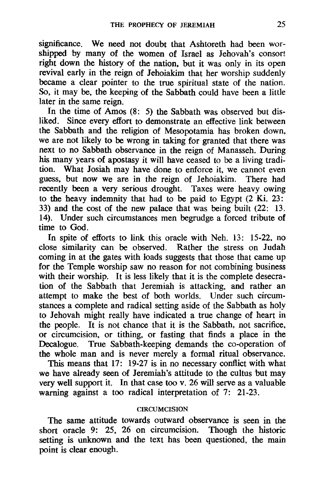significance. We need not doubt that Ashtoreth had been worshipped by many of the women of Israel as Jehovah's consort right down the history of the nation, but it was only in its open revival early in the reign of Jehoiakim that her worship suddenly became a clear pointer to the true spiritual state of the nation. So, it may be, the keeping of the Sabbath could have been a little later in the same reign.

In the time of Amos (8: 5) the Sabbath was observed but disliked. Since every effort to demonstrate an effective link between the Sabbath and the religion of Mesopotamia has broken down, we are not likely to be wrong in taking for granted that there was next to no Sabbath observance in the reign of Manasseh. During his many years of apostasy it will have ceased to be a living tradition. What Josiah may have done to enforce it, we cannot even guess, but now we are in the reign of Jehoiakim. There had recently been a very serious drought. Taxes were heavy owing to the heavy indemnity that had to be paid to Egypt (2 Ki. 23: 33) and the cost of the new palace that was being built (22: 13. 14). Under such circumstances men begrudge a forced tribute of time to God.

In spite of efforts to link this oracle with Neh. 13: 15-22, no close similarity can be observed. Rather the stress on Judah coming in at the gates with loads suggests that those that came up for the Temple worship saw no reason for not combining business with their worship. It is less likely that it is the complete desecration of the Sabbath that Jeremiah is attacking, and rather an attempt to make the best of both worlds. Under such circumstances a complete and radical setting aside of the Sabbath as holy to Jehovah might really have indicated a true change of heart in the people. It is not chance that it is the Sabbath, not sacrifice, or circumcision, or tithing, or fasting that finds a place in the Decalogue. True Sabbath-keeping demands the co-operation of the whole man and is never merely a formal ritual observance.

This means that 17: 19-27 is in no necessary conflict with what we have already seen of Jeremiah's attitude to the cultus but may very well support it. In that case too v. 26 will serve as a valuable warning against a too radical interpretation of 7: 21-23.

## **CIRCUMCISION**

The same attitude towards outward observance is seen in the short oracle 9: 25, 26 on circumcision. Though the historic setting is unknown and the text has been questioned, the main point is clear enough.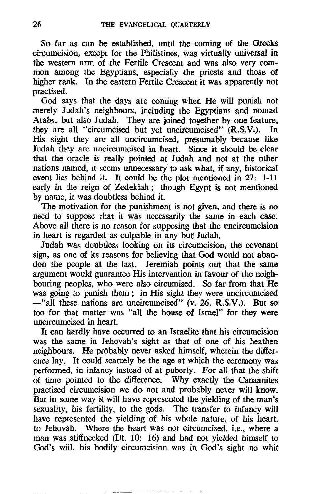So far as can be established, until the coming of the Greeks circumcision, except for the Philistines, was virtually universal in the western arm of the Fertile Crescent and was also very common among the Egyptians, especially the priests and those of higher rank. In the eastern Fertile Crescent it was apparently not practised.

God says that the days are coming when He will punish not merely Judah's neighbours, including the Egyptians and nomad Arabs, but also Judah. They are joined together by one feature, they are all "circumcised but yet uncircumcised"  $(R, SV)$ . In they are all "circumcised but yet uncircumcised" (R.S.V.). His sight they are all uncircumcised, presumably because like Judah they are uncircumcised in heart. Since it should be clear that the oracle is really pointed at Judah and not at the other nations named, it seems unnecessary to ask what, if any, historical event lies behind it. It could be the plot mentioned in 27: 1-11 early in the reign of Zedekiah; though Egypt is not mentioned by name. it was doubtless behind it.

The motivation for the punishment is not given. and there is no need to suppose that it was necessarily the same in each case. Above all there is no reason for supposing that the uncircumcision in heart is regarded as culpable in any but Judah.

Judah was doubtless looking on its circumcision, the covenant sign, as one of its reasons for believing that God would not abandon the people at the last. Jeremiah points out that the same argument would guarantee His intervention in favour of the neighbouring peoples, who were also circumised. So far from that He was going to punish them; in His sight they were uncircumcised -"all these nations are uncircumcised" (v. 26, R.S.V.). But so too for that matter was "all the house of Israel" for they were uncircumcised in heart.

It can hardly have occurred to an Israelite that his circumcision was the same in Jehovah's sight as that of one of his heathen neighbours. He probably never asked himself, wherein the difference lay. It could scarcely be the age at which the ceremony was performed. in infancy instead of at puberty. For all that the shift of time pointed to the difference. Why exactly the Canaanites practised circumcision we do not and probably never will know. But in some way it will have represented the yielding of the man's sexuality. his fertility. to the gods. The transfer to infancy will have represented the yielding of his whole nature. of his heart. to Jehovah. Where the heart was not circumcised, i.e., where a man was stiffnecked (Dt. 10: 16) and had not yielded himself to God's will. his bodily circumcision was in God's sight no whit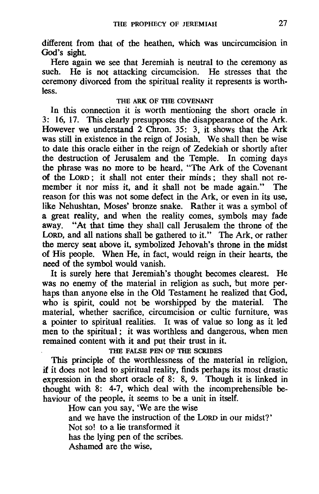different from that of the heathen, which was uncircumcision in God's sight.

Here again we see that Jeremiah is neutral to the ceremony as such. He is not attacking circumcision. He stresses that the ceremony divorced from the spiritual reality it represents is worthless.

# THE ARK OF THE COVENANT

In this connection it is worth mentioning the short oracle in 3: 16, 17. This clearly presupposes the disappearance of the Ark. However we understand 2 Chron. 35: 3, it shows that the Ark was still in existence in the reign of Josiah. We shall then be wise to date this oracle either in the reign of Zedekiah or shortly after the destruction of Jerusalem and the Temple. In coming days the phrase was no more to be heard, "The Ark of the Covenant of the LoRD; it shall not enter their minds; they shall not remember it nor miss it, and it shall not be made again." The reason for this was not some defect in the Ark, or even in its use, like Nehushtan, Moses' bronze snake. Rather it was a symbol of a great reality, and when the reality comes, symbols may fade away. "At that time they shall call Jerusalem the throne of the LoRD, and all nations shall be gathered to it." The Ark, or rather the mercy seat above it, symbolized Jehovah's throne in the midst of His people. When He, in fact, would reign in their hearts, the need of the symbol would vanish.

It is surely here that Jeremiah's thought becomes clearest. He was no enemy of the material in religion as such, but more perhaps than anyone else in the Old Testament he realized that God, who is spirit could not be worshipped by the material. The who is spirit, could not be worshipped by the material. material, whether sacrifice, circumcision or cultic furniture, was a pointer to spiritual realities. It was of value so long as it led men to the spiritual; it was worthless and dangerous, when men remained content with it and put their trust in it.

THE FALSE PEN OF THE SCRIBES

This principle of the worthlessness of the material in religion, if it does not lead to spiritual reality, finds perhaps its most drastic expression in the short oracle of 8: 8, 9. Though it is linked in thought with 8: 4-7, which deal with the incomprehensible behaviour of the people, it seems to be a unit in itself.

How can you say, 'We are the wise

and we have the instruction of the LoRD in our midst?'

Not so! to a lie transformed it

has the lying pen of the scribes.

Ashamed are the wise,